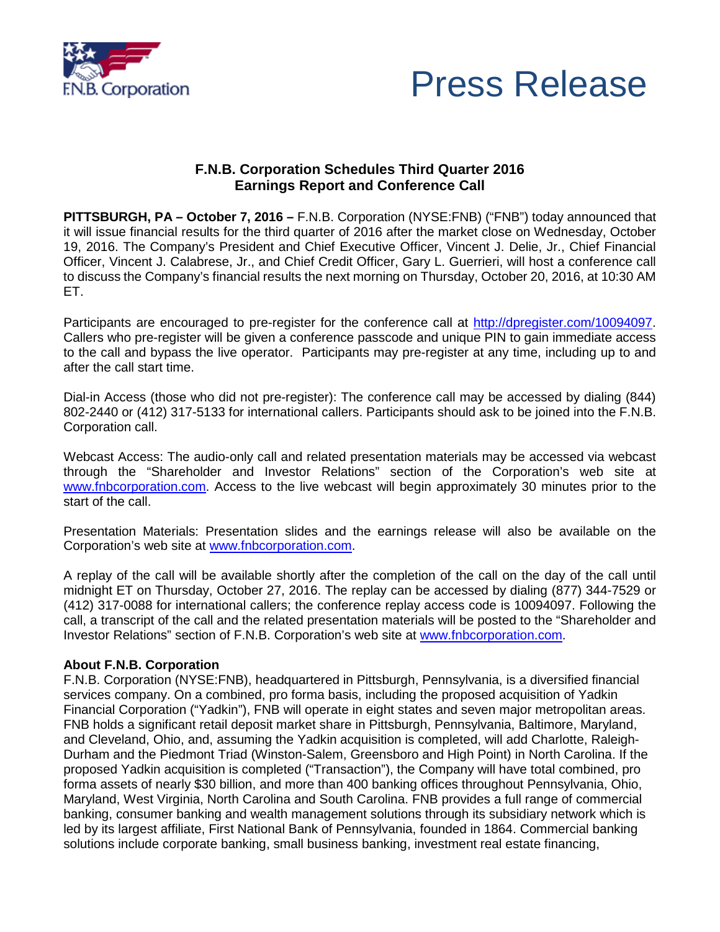



## **F.N.B. Corporation Schedules Third Quarter 2016 Earnings Report and Conference Call**

**PITTSBURGH, PA – October 7, 2016 –** F.N.B. Corporation (NYSE:FNB) ("FNB") today announced that it will issue financial results for the third quarter of 2016 after the market close on Wednesday, October 19, 2016. The Company's President and Chief Executive Officer, Vincent J. Delie, Jr., Chief Financial Officer, Vincent J. Calabrese, Jr., and Chief Credit Officer, Gary L. Guerrieri, will host a conference call to discuss the Company's financial results the next morning on Thursday, October 20, 2016, at 10:30 AM ET.

Participants are encouraged to pre-register for the conference call at [http://dpregister.com/10094097.](http://dpregister.com/10094097) Callers who pre-register will be given a conference passcode and unique PIN to gain immediate access to the call and bypass the live operator. Participants may pre-register at any time, including up to and after the call start time.

Dial-in Access (those who did not pre-register): The conference call may be accessed by dialing (844) 802-2440 or (412) 317-5133 for international callers. Participants should ask to be joined into the F.N.B. Corporation call.

Webcast Access: The audio-only call and related presentation materials may be accessed via webcast through the "Shareholder and Investor Relations" section of the Corporation's web site at [www.fnbcorporation.com.](http://www.fnb-online.com/) Access to the live webcast will begin approximately 30 minutes prior to the start of the call.

Presentation Materials: Presentation slides and the earnings release will also be available on the Corporation's web site at [www.fnbcorporation.com.](http://www.fnb-online.com/)

A replay of the call will be available shortly after the completion of the call on the day of the call until midnight ET on Thursday, October 27, 2016. The replay can be accessed by dialing (877) 344-7529 or (412) 317-0088 for international callers; the conference replay access code is 10094097. Following the call, a transcript of the call and the related presentation materials will be posted to the "Shareholder and Investor Relations" section of F.N.B. Corporation's web site at [www.fnbcorporation.com.](http://www.fnb-online.com/)

## **About F.N.B. Corporation**

F.N.B. Corporation (NYSE:FNB), headquartered in Pittsburgh, Pennsylvania, is a diversified financial services company. On a combined, pro forma basis, including the proposed acquisition of Yadkin Financial Corporation ("Yadkin"), FNB will operate in eight states and seven major metropolitan areas. FNB holds a significant retail deposit market share in Pittsburgh, Pennsylvania, Baltimore, Maryland, and Cleveland, Ohio, and, assuming the Yadkin acquisition is completed, will add Charlotte, Raleigh-Durham and the Piedmont Triad (Winston-Salem, Greensboro and High Point) in North Carolina. If the proposed Yadkin acquisition is completed ("Transaction"), the Company will have total combined, pro forma assets of nearly \$30 billion, and more than 400 banking offices throughout Pennsylvania, Ohio, Maryland, West Virginia, North Carolina and South Carolina. FNB provides a full range of commercial banking, consumer banking and wealth management solutions through its subsidiary network which is led by its largest affiliate, First National Bank of Pennsylvania, founded in 1864. Commercial banking solutions include corporate banking, small business banking, investment real estate financing,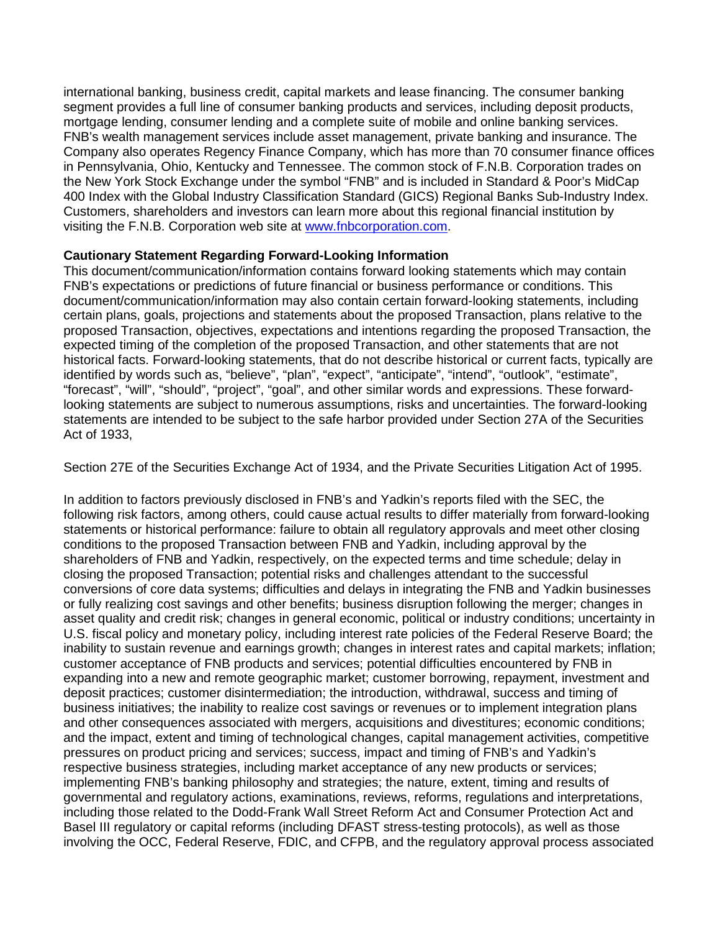international banking, business credit, capital markets and lease financing. The consumer banking segment provides a full line of consumer banking products and services, including deposit products, mortgage lending, consumer lending and a complete suite of mobile and online banking services. FNB's wealth management services include asset management, private banking and insurance. The Company also operates Regency Finance Company, which has more than 70 consumer finance offices in Pennsylvania, Ohio, Kentucky and Tennessee. The common stock of F.N.B. Corporation trades on the New York Stock Exchange under the symbol "FNB" and is included in Standard & Poor's MidCap 400 Index with the Global Industry Classification Standard (GICS) Regional Banks Sub-Industry Index. Customers, shareholders and investors can learn more about this regional financial institution by visiting the F.N.B. Corporation web site at [www.fnbcorporation.com.](http://www.fnb-online.com/)

## **Cautionary Statement Regarding Forward-Looking Information**

This document/communication/information contains forward looking statements which may contain FNB's expectations or predictions of future financial or business performance or conditions. This document/communication/information may also contain certain forward-looking statements, including certain plans, goals, projections and statements about the proposed Transaction, plans relative to the proposed Transaction, objectives, expectations and intentions regarding the proposed Transaction, the expected timing of the completion of the proposed Transaction, and other statements that are not historical facts. Forward-looking statements, that do not describe historical or current facts, typically are identified by words such as, "believe", "plan", "expect", "anticipate", "intend", "outlook", "estimate", "forecast", "will", "should", "project", "goal", and other similar words and expressions. These forwardlooking statements are subject to numerous assumptions, risks and uncertainties. The forward-looking statements are intended to be subject to the safe harbor provided under Section 27A of the Securities Act of 1933,

Section 27E of the Securities Exchange Act of 1934, and the Private Securities Litigation Act of 1995.

In addition to factors previously disclosed in FNB's and Yadkin's reports filed with the SEC, the following risk factors, among others, could cause actual results to differ materially from forward-looking statements or historical performance: failure to obtain all regulatory approvals and meet other closing conditions to the proposed Transaction between FNB and Yadkin, including approval by the shareholders of FNB and Yadkin, respectively, on the expected terms and time schedule; delay in closing the proposed Transaction; potential risks and challenges attendant to the successful conversions of core data systems; difficulties and delays in integrating the FNB and Yadkin businesses or fully realizing cost savings and other benefits; business disruption following the merger; changes in asset quality and credit risk; changes in general economic, political or industry conditions; uncertainty in U.S. fiscal policy and monetary policy, including interest rate policies of the Federal Reserve Board; the inability to sustain revenue and earnings growth; changes in interest rates and capital markets; inflation; customer acceptance of FNB products and services; potential difficulties encountered by FNB in expanding into a new and remote geographic market; customer borrowing, repayment, investment and deposit practices; customer disintermediation; the introduction, withdrawal, success and timing of business initiatives; the inability to realize cost savings or revenues or to implement integration plans and other consequences associated with mergers, acquisitions and divestitures; economic conditions; and the impact, extent and timing of technological changes, capital management activities, competitive pressures on product pricing and services; success, impact and timing of FNB's and Yadkin's respective business strategies, including market acceptance of any new products or services; implementing FNB's banking philosophy and strategies; the nature, extent, timing and results of governmental and regulatory actions, examinations, reviews, reforms, regulations and interpretations, including those related to the Dodd-Frank Wall Street Reform Act and Consumer Protection Act and Basel III regulatory or capital reforms (including DFAST stress-testing protocols), as well as those involving the OCC, Federal Reserve, FDIC, and CFPB, and the regulatory approval process associated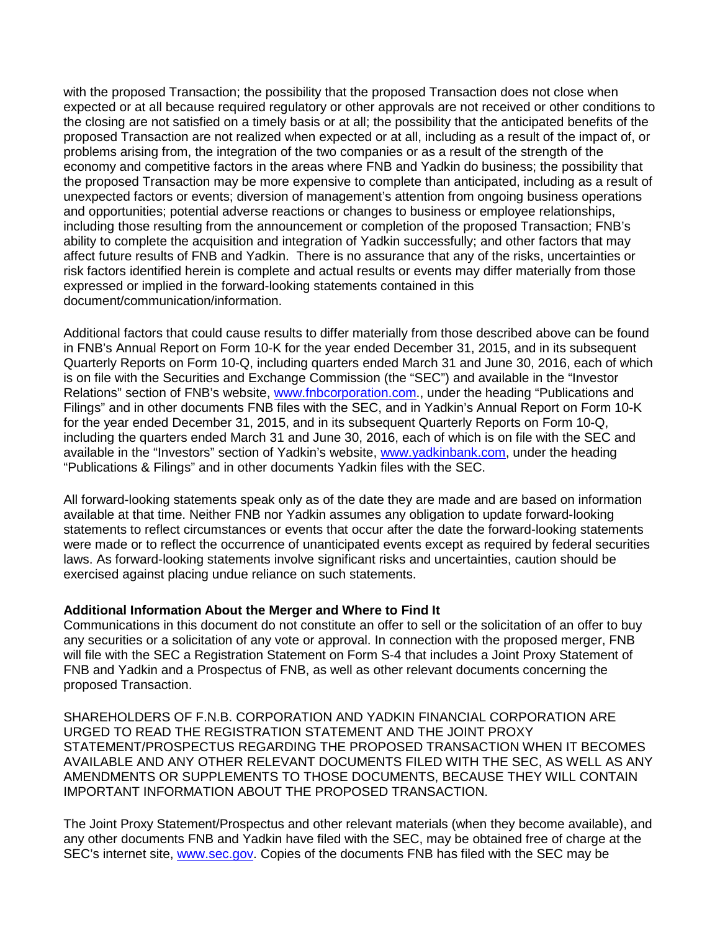with the proposed Transaction; the possibility that the proposed Transaction does not close when expected or at all because required regulatory or other approvals are not received or other conditions to the closing are not satisfied on a timely basis or at all; the possibility that the anticipated benefits of the proposed Transaction are not realized when expected or at all, including as a result of the impact of, or problems arising from, the integration of the two companies or as a result of the strength of the economy and competitive factors in the areas where FNB and Yadkin do business; the possibility that the proposed Transaction may be more expensive to complete than anticipated, including as a result of unexpected factors or events; diversion of management's attention from ongoing business operations and opportunities; potential adverse reactions or changes to business or employee relationships, including those resulting from the announcement or completion of the proposed Transaction; FNB's ability to complete the acquisition and integration of Yadkin successfully; and other factors that may affect future results of FNB and Yadkin. There is no assurance that any of the risks, uncertainties or risk factors identified herein is complete and actual results or events may differ materially from those expressed or implied in the forward-looking statements contained in this document/communication/information.

Additional factors that could cause results to differ materially from those described above can be found in FNB's Annual Report on Form 10-K for the year ended December 31, 2015, and in its subsequent Quarterly Reports on Form 10-Q, including quarters ended March 31 and June 30, 2016, each of which is on file with the Securities and Exchange Commission (the "SEC") and available in the "Investor Relations" section of FNB's website, [www.fnbcorporation.com.](http://www.fnb-online.com/), under the heading "Publications and Filings" and in other documents FNB files with the SEC, and in Yadkin's Annual Report on Form 10-K for the year ended December 31, 2015, and in its subsequent Quarterly Reports on Form 10-Q, including the quarters ended March 31 and June 30, 2016, each of which is on file with the SEC and available in the "Investors" section of Yadkin's website, [www.yadkinbank.com,](http://www.yadkinbank.com/) under the heading "Publications & Filings" and in other documents Yadkin files with the SEC.

All forward-looking statements speak only as of the date they are made and are based on information available at that time. Neither FNB nor Yadkin assumes any obligation to update forward-looking statements to reflect circumstances or events that occur after the date the forward-looking statements were made or to reflect the occurrence of unanticipated events except as required by federal securities laws. As forward-looking statements involve significant risks and uncertainties, caution should be exercised against placing undue reliance on such statements.

## **Additional Information About the Merger and Where to Find It**

Communications in this document do not constitute an offer to sell or the solicitation of an offer to buy any securities or a solicitation of any vote or approval. In connection with the proposed merger, FNB will file with the SEC a Registration Statement on Form S-4 that includes a Joint Proxy Statement of FNB and Yadkin and a Prospectus of FNB, as well as other relevant documents concerning the proposed Transaction.

SHAREHOLDERS OF F.N.B. CORPORATION AND YADKIN FINANCIAL CORPORATION ARE URGED TO READ THE REGISTRATION STATEMENT AND THE JOINT PROXY STATEMENT/PROSPECTUS REGARDING THE PROPOSED TRANSACTION WHEN IT BECOMES AVAILABLE AND ANY OTHER RELEVANT DOCUMENTS FILED WITH THE SEC, AS WELL AS ANY AMENDMENTS OR SUPPLEMENTS TO THOSE DOCUMENTS, BECAUSE THEY WILL CONTAIN IMPORTANT INFORMATION ABOUT THE PROPOSED TRANSACTION.

The Joint Proxy Statement/Prospectus and other relevant materials (when they become available), and any other documents FNB and Yadkin have filed with the SEC, may be obtained free of charge at the SEC's internet site, [www.sec.gov.](http://www.sec.gov/) Copies of the documents FNB has filed with the SEC may be